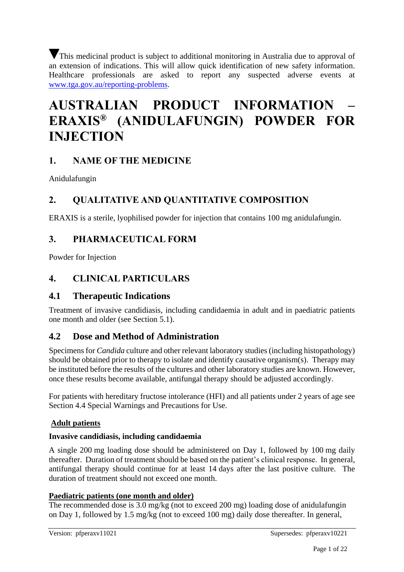This medicinal product is subject to additional monitoring in Australia due to approval of an extension of indications. This will allow quick identification of new safety information. Healthcare professionals are asked to report any suspected adverse events at [www.tga.gov.au/reporting-problems.](http://www.tga.gov.au/reporting-problems)

# **AUSTRALIAN PRODUCT INFORMATION – ERAXIS® (ANIDULAFUNGIN) POWDER FOR INJECTION**

# **1. NAME OF THE MEDICINE**

Anidulafungin

# **2. QUALITATIVE AND QUANTITATIVE COMPOSITION**

ERAXIS is a sterile, lyophilised powder for injection that contains 100 mg anidulafungin.

# **3. PHARMACEUTICAL FORM**

Powder for Injection

# **4. CLINICAL PARTICULARS**

# **4.1 Therapeutic Indications**

Treatment of invasive candidiasis, including candidaemia in adult and in paediatric patients one month and older (see Section 5.1).

# **4.2 Dose and Method of Administration**

Specimens for *Candida* culture and other relevant laboratory studies (including histopathology) should be obtained prior to therapy to isolate and identify causative organism(s). Therapy may be instituted before the results of the cultures and other laboratory studies are known. However, once these results become available, antifungal therapy should be adjusted accordingly.

For patients with hereditary fructose intolerance (HFI) and all patients under 2 years of age see Section 4.4 Special Warnings and Precautions for Use.

#### **Adult patients**

#### **Invasive candidiasis, including candidaemia**

A single 200 mg loading dose should be administered on Day 1, followed by 100 mg daily thereafter. Duration of treatment should be based on the patient's clinical response. In general, antifungal therapy should continue for at least 14 days after the last positive culture. The duration of treatment should not exceed one month.

#### **Paediatric patients (one month and older)**

The recommended dose is 3.0 mg/kg (not to exceed 200 mg) loading dose of anidulafungin on Day 1, followed by 1.5 mg/kg (not to exceed 100 mg) daily dose thereafter. In general,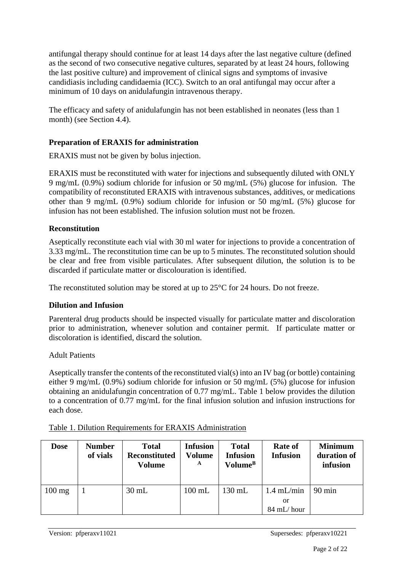antifungal therapy should continue for at least 14 days after the last negative culture (defined as the second of two consecutive negative cultures, separated by at least 24 hours, following the last positive culture) and improvement of clinical signs and symptoms of invasive candidiasis including candidaemia (ICC). Switch to an oral antifungal may occur after a minimum of 10 days on anidulafungin intravenous therapy.

The efficacy and safety of anidulafungin has not been established in neonates (less than 1 month) (see Section 4.4).

#### **Preparation of ERAXIS for administration**

ERAXIS must not be given by bolus injection.

ERAXIS must be reconstituted with water for injections and subsequently diluted with ONLY 9 mg/mL (0.9%) sodium chloride for infusion or 50 mg/mL (5%) glucose for infusion. The compatibility of reconstituted ERAXIS with intravenous substances, additives, or medications other than 9 mg/mL (0.9%) sodium chloride for infusion or 50 mg/mL (5%) glucose for infusion has not been established. The infusion solution must not be frozen.

#### **Reconstitution**

Aseptically reconstitute each vial with 30 ml water for injections to provide a concentration of 3.33 mg/mL. The reconstitution time can be up to 5 minutes. The reconstituted solution should be clear and free from visible particulates. After subsequent dilution, the solution is to be discarded if particulate matter or discolouration is identified.

The reconstituted solution may be stored at up to  $25^{\circ}$ C for 24 hours. Do not freeze.

#### **Dilution and Infusion**

Parenteral drug products should be inspected visually for particulate matter and discoloration prior to administration, whenever solution and container permit. If particulate matter or discoloration is identified, discard the solution.

#### Adult Patients

Aseptically transfer the contents of the reconstituted vial(s) into an IV bag (or bottle) containing either 9 mg/mL (0.9%) sodium chloride for infusion or 50 mg/mL (5%) glucose for infusion obtaining an anidulafungin concentration of 0.77 mg/mL. Table 1 below provides the dilution to a concentration of 0.77 mg/mL for the final infusion solution and infusion instructions for each dose.

| <b>Dose</b>      | <b>Number</b><br>of vials | <b>Total</b><br><b>Reconstituted</b><br>Volume | <b>Infusion</b><br>Volume<br>A | <b>Total</b><br><b>Infusion</b><br>Volume <sup>B</sup> | <b>Rate of</b><br><b>Infusion</b> | <b>Minimum</b><br>duration of<br>infusion |
|------------------|---------------------------|------------------------------------------------|--------------------------------|--------------------------------------------------------|-----------------------------------|-------------------------------------------|
| $100 \text{ mg}$ |                           | $30 \text{ mL}$                                | $100$ mL                       | $130$ mL                                               | $1.4$ mL/min<br>or<br>84 mL/hour  | $90 \text{ min}$                          |

| Table 1. Dilution Requirements for ERAXIS Administration |
|----------------------------------------------------------|
|                                                          |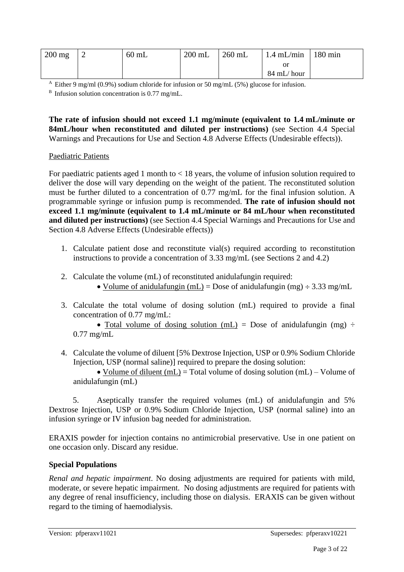| $200 \text{ mg}$ | $60$ mL | $200$ mL | $260$ mL | $1.4$ mL/min   180 min |  |
|------------------|---------|----------|----------|------------------------|--|
|                  |         |          |          |                        |  |
|                  |         |          |          | 84 mL/hour             |  |

<sup>A</sup> Either 9 mg/ml (0.9%) sodium chloride for infusion or 50 mg/mL (5%) glucose for infusion.

 $B$  Infusion solution concentration is 0.77 mg/mL.

**The rate of infusion should not exceed 1.1 mg/minute (equivalent to 1.4 mL/minute or 84mL/hour when reconstituted and diluted per instructions)** (see Section 4.4 Special Warnings and Precautions for Use and Section 4.8 Adverse Effects (Undesirable effects)).

#### Paediatric Patients

For paediatric patients aged 1 month to < 18 years, the volume of infusion solution required to deliver the dose will vary depending on the weight of the patient. The reconstituted solution must be further diluted to a concentration of 0.77 mg/mL for the final infusion solution. A programmable syringe or infusion pump is recommended. **The rate of infusion should not exceed 1.1 mg/minute (equivalent to 1.4 mL/minute or 84 mL/hour when reconstituted and diluted per instructions)** (see Section 4.4 Special Warnings and Precautions for Use and Section 4.8 Adverse Effects (Undesirable effects))

- 1. Calculate patient dose and reconstitute vial(s) required according to reconstitution instructions to provide a concentration of 3.33 mg/mL (see Sections 2 and 4.2)
- 2. Calculate the volume (mL) of reconstituted anidulafungin required:
	- Volume of anidulafungin (mL) = Dose of anidulafungin (mg)  $\div$  3.33 mg/mL
- 3. Calculate the total volume of dosing solution (mL) required to provide a final concentration of 0.77 mg/mL:

• Total volume of dosing solution (mL) = Dose of anidulafungin (mg)  $\div$ 0.77 mg/mL

4. Calculate the volume of diluent [5% Dextrose Injection, USP or 0.9% Sodium Chloride Injection, USP (normal saline)] required to prepare the dosing solution:

• Volume of diluent (mL) = Total volume of dosing solution (mL) – Volume of anidulafungin (mL)

5. Aseptically transfer the required volumes (mL) of anidulafungin and 5% Dextrose Injection, USP or 0.9% Sodium Chloride Injection, USP (normal saline) into an infusion syringe or IV infusion bag needed for administration.

ERAXIS powder for injection contains no antimicrobial preservative. Use in one patient on one occasion only. Discard any residue.

#### **Special Populations**

*Renal and hepatic impairment*. No dosing adjustments are required for patients with mild, moderate, or severe hepatic impairment. No dosing adjustments are required for patients with any degree of renal insufficiency, including those on dialysis. ERAXIS can be given without regard to the timing of haemodialysis.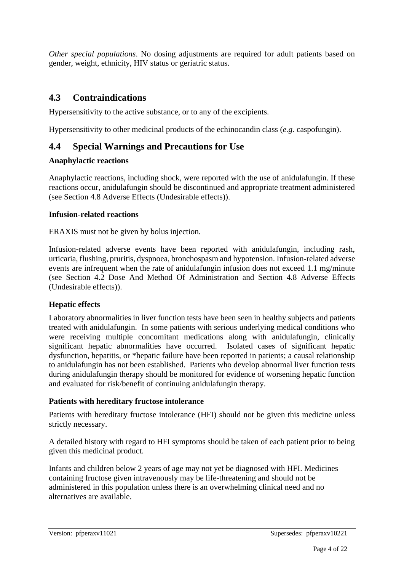*Other special populations*. No dosing adjustments are required for adult patients based on gender, weight, ethnicity, HIV status or geriatric status.

# **4.3 Contraindications**

Hypersensitivity to the active substance, or to any of the excipients.

Hypersensitivity to other medicinal products of the echinocandin class (*e.g.* caspofungin).

# **4.4 Special Warnings and Precautions for Use**

#### **Anaphylactic reactions**

Anaphylactic reactions, including shock, were reported with the use of anidulafungin. If these reactions occur, anidulafungin should be discontinued and appropriate treatment administered (see Section 4.8 Adverse Effects (Undesirable effects)).

#### **Infusion-related reactions**

ERAXIS must not be given by bolus injection.

Infusion-related adverse events have been reported with anidulafungin, including rash, urticaria, flushing, pruritis, dyspnoea, bronchospasm and hypotension. Infusion-related adverse events are infrequent when the rate of anidulafungin infusion does not exceed 1.1 mg/minute (see Section 4.2 Dose And Method Of Administration and Section 4.8 Adverse Effects (Undesirable effects)).

#### **Hepatic effects**

Laboratory abnormalities in liver function tests have been seen in healthy subjects and patients treated with anidulafungin. In some patients with serious underlying medical conditions who were receiving multiple concomitant medications along with anidulafungin, clinically significant hepatic abnormalities have occurred. Isolated cases of significant hepatic dysfunction, hepatitis, or \*hepatic failure have been reported in patients; a causal relationship to anidulafungin has not been established. Patients who develop abnormal liver function tests during anidulafungin therapy should be monitored for evidence of worsening hepatic function and evaluated for risk/benefit of continuing anidulafungin therapy.

#### **Patients with hereditary fructose intolerance**

Patients with hereditary fructose intolerance (HFI) should not be given this medicine unless strictly necessary.

A detailed history with regard to HFI symptoms should be taken of each patient prior to being given this medicinal product.

Infants and children below 2 years of age may not yet be diagnosed with HFI. Medicines containing fructose given intravenously may be life-threatening and should not be administered in this population unless there is an overwhelming clinical need and no alternatives are available.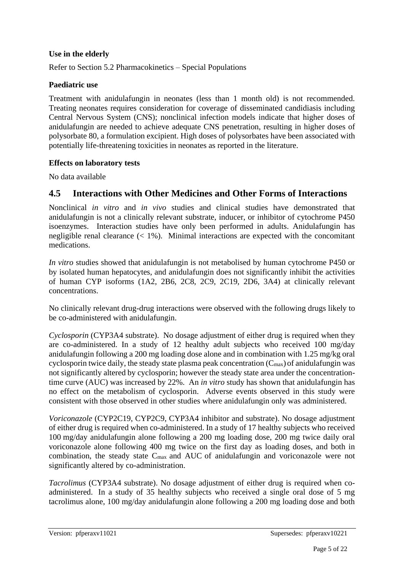#### **Use in the elderly**

Refer to Section 5.2 Pharmacokinetics – Special Populations

#### **Paediatric use**

Treatment with anidulafungin in neonates (less than 1 month old) is not recommended. Treating neonates requires consideration for coverage of disseminated candidiasis including Central Nervous System (CNS); nonclinical infection models indicate that higher doses of anidulafungin are needed to achieve adequate CNS penetration, resulting in higher doses of polysorbate 80, a formulation excipient. High doses of polysorbates have been associated with potentially life-threatening toxicities in neonates as reported in the literature.

#### **Effects on laboratory tests**

No data available

# **4.5 Interactions with Other Medicines and Other Forms of Interactions**

Nonclinical *in vitro* and *in vivo* studies and clinical studies have demonstrated that anidulafungin is not a clinically relevant substrate, inducer, or inhibitor of cytochrome P450 isoenzymes. Interaction studies have only been performed in adults. Anidulafungin has negligible renal clearance  $\langle 1\% \rangle$ . Minimal interactions are expected with the concomitant medications.

*In vitro* studies showed that anidulafungin is not metabolised by human cytochrome P450 or by isolated human hepatocytes, and anidulafungin does not significantly inhibit the activities of human CYP isoforms (1A2, 2B6, 2C8, 2C9, 2C19, 2D6, 3A4) at clinically relevant concentrations.

No clinically relevant drug-drug interactions were observed with the following drugs likely to be co-administered with anidulafungin.

*Cyclosporin* (CYP3A4 substrate). No dosage adjustment of either drug is required when they are co-administered. In a study of 12 healthy adult subjects who received 100 mg/day anidulafungin following a 200 mg loading dose alone and in combination with 1.25 mg/kg oral cyclosporin twice daily, the steady state plasma peak concentration  $(C_{\text{max}})$  of anidulafungin was not significantly altered by cyclosporin; however the steady state area under the concentrationtime curve (AUC) was increased by 22%. An *in vitro* study has shown that anidulafungin has no effect on the metabolism of cyclosporin. Adverse events observed in this study were consistent with those observed in other studies where anidulafungin only was administered.

*Voriconazole* (CYP2C19, CYP2C9, CYP3A4 inhibitor and substrate). No dosage adjustment of either drug is required when co-administered. In a study of 17 healthy subjects who received 100 mg/day anidulafungin alone following a 200 mg loading dose, 200 mg twice daily oral voriconazole alone following 400 mg twice on the first day as loading doses, and both in combination, the steady state Cmax and AUC of anidulafungin and voriconazole were not significantly altered by co-administration.

*Tacrolimus* (CYP3A4 substrate). No dosage adjustment of either drug is required when coadministered. In a study of 35 healthy subjects who received a single oral dose of 5 mg tacrolimus alone, 100 mg/day anidulafungin alone following a 200 mg loading dose and both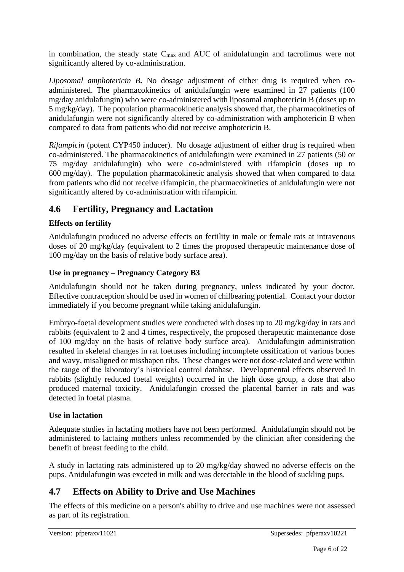in combination, the steady state Cmax and AUC of anidulafungin and tacrolimus were not significantly altered by co-administration.

*Liposomal amphotericin B***.** No dosage adjustment of either drug is required when coadministered. The pharmacokinetics of anidulafungin were examined in 27 patients (100 mg/day anidulafungin) who were co-administered with liposomal amphotericin B (doses up to 5 mg/kg/day). The population pharmacokinetic analysis showed that, the pharmacokinetics of anidulafungin were not significantly altered by co-administration with amphotericin B when compared to data from patients who did not receive amphotericin B.

*Rifampicin* (potent CYP450 inducer). No dosage adjustment of either drug is required when co-administered. The pharmacokinetics of anidulafungin were examined in 27 patients (50 or 75 mg/day anidulafungin) who were co-administered with rifampicin (doses up to 600 mg/day). The population pharmacokinetic analysis showed that when compared to data from patients who did not receive rifampicin, the pharmacokinetics of anidulafungin were not significantly altered by co-administration with rifampicin.

# **4.6 Fertility, Pregnancy and Lactation**

# **Effects on fertility**

Anidulafungin produced no adverse effects on fertility in male or female rats at intravenous doses of 20 mg/kg/day (equivalent to 2 times the proposed therapeutic maintenance dose of 100 mg/day on the basis of relative body surface area).

#### **Use in pregnancy – Pregnancy Category B3**

Anidulafungin should not be taken during pregnancy, unless indicated by your doctor. Effective contraception should be used in women of chilbearing potential. Contact your doctor immediately if you become pregnant while taking anidulafungin.

Embryo-foetal development studies were conducted with doses up to 20 mg/kg/day in rats and rabbits (equivalent to 2 and 4 times, respectively, the proposed therapeutic maintenance dose of 100 mg/day on the basis of relative body surface area). Anidulafungin administration resulted in skeletal changes in rat foetuses including incomplete ossification of various bones and wavy, misaligned or misshapen ribs. These changes were not dose-related and were within the range of the laboratory's historical control database. Developmental effects observed in rabbits (slightly reduced foetal weights) occurred in the high dose group, a dose that also produced maternal toxicity. Anidulafungin crossed the placental barrier in rats and was detected in foetal plasma.

#### **Use in lactation**

Adequate studies in lactating mothers have not been performed. Anidulafungin should not be administered to lactaing mothers unless recommended by the clinician after considering the benefit of breast feeding to the child.

A study in lactating rats administered up to 20 mg/kg/day showed no adverse effects on the pups. Anidulafungin was exceted in milk and was detectable in the blood of suckling pups.

# **4.7 Effects on Ability to Drive and Use Machines**

The effects of this medicine on a person's ability to drive and use machines were not assessed as part of its registration.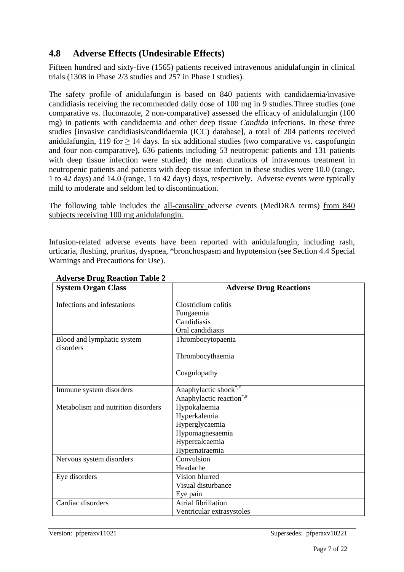# **4.8 Adverse Effects (Undesirable Effects)**

Fifteen hundred and sixty-five (1565) patients received intravenous anidulafungin in clinical trials (1308 in Phase 2/3 studies and 257 in Phase I studies).

The safety profile of anidulafungin is based on 840 patients with candidaemia/invasive candidiasis receiving the recommended daily dose of 100 mg in 9 studies.Three studies (one comparative *vs*. fluconazole, 2 non-comparative) assessed the efficacy of anidulafungin (100 mg) in patients with candidaemia and other deep tissue *Candida* infections. In these three studies [invasive candidiasis/candidaemia (ICC) database], a total of 204 patients received anidulafungin, 119 for  $\geq$  14 days. In six additional studies (two comparative vs. caspofungin and four non-comparative), 636 patients including 53 neutropenic patients and 131 patients with deep tissue infection were studied; the mean durations of intravenous treatment in neutropenic patients and patients with deep tissue infection in these studies were 10.0 (range, 1 to 42 days) and 14.0 (range, 1 to 42 days) days, respectively. Adverse events were typically mild to moderate and seldom led to discontinuation.

The following table includes the all-causality adverse events (MedDRA terms) from 840 subjects receiving 100 mg anidulafungin.

Infusion-related adverse events have been reported with anidulafungin, including rash, urticaria, flushing, pruritus, dyspnea, \*bronchospasm and hypotension (see Section 4.4 Special Warnings and Precautions for Use).

| <b>System Organ Class</b>          | <b>Adverse Drug Reactions</b>        |
|------------------------------------|--------------------------------------|
| Infections and infestations        | Clostridium colitis                  |
|                                    | Fungaemia                            |
|                                    | Candidiasis                          |
|                                    | Oral candidiasis                     |
| Blood and lymphatic system         | Thrombocytopaenia                    |
| disorders                          |                                      |
|                                    | Thrombocythaemia                     |
|                                    | Coagulopathy                         |
| Immune system disorders            | Anaphylactic shock*,#                |
|                                    | Anaphylactic reaction <sup>*,#</sup> |
| Metabolism and nutrition disorders | Hypokalaemia                         |
|                                    | Hyperkalemia                         |
|                                    | Hyperglycaemia                       |
|                                    | Hypomagnesaemia                      |
|                                    | Hypercalcaemia                       |
|                                    | Hypernatraemia                       |
| Nervous system disorders           | Convulsion                           |
|                                    | Headache                             |
| Eye disorders                      | Vision blurred                       |
|                                    | Visual disturbance                   |
|                                    | Eye pain                             |
| Cardiac disorders                  | Atrial fibrillation                  |
|                                    | Ventricular extrasystoles            |

#### **Adverse Drug Reaction Table 2**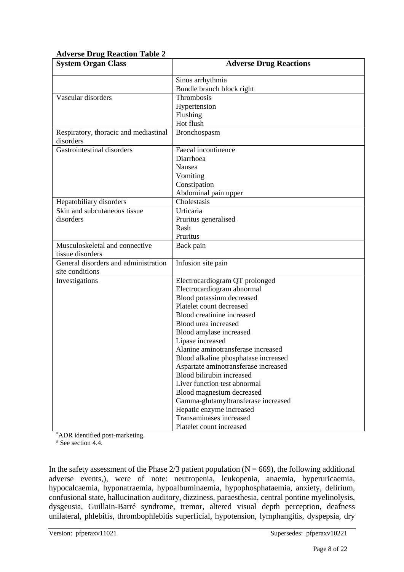| AUTOR DIUS ROUGHON TUDIC<br><b>System Organ Class</b> | <b>Adverse Drug Reactions</b>        |
|-------------------------------------------------------|--------------------------------------|
|                                                       | Sinus arrhythmia                     |
|                                                       | Bundle branch block right            |
| Vascular disorders                                    | Thrombosis                           |
|                                                       | Hypertension                         |
|                                                       | Flushing                             |
|                                                       | Hot flush                            |
| Respiratory, thoracic and mediastinal                 | Bronchospasm                         |
| disorders                                             |                                      |
| Gastrointestinal disorders                            | Faecal incontinence                  |
|                                                       | Diarrhoea                            |
|                                                       | Nausea                               |
|                                                       | Vomiting                             |
|                                                       | Constipation                         |
|                                                       | Abdominal pain upper                 |
| Hepatobiliary disorders                               | Cholestasis                          |
| Skin and subcutaneous tissue                          | Urticaria                            |
| disorders                                             | Pruritus generalised                 |
|                                                       | Rash                                 |
|                                                       | Pruritus                             |
| Musculoskeletal and connective                        | Back pain                            |
| tissue disorders                                      |                                      |
| General disorders and administration                  | Infusion site pain                   |
| site conditions                                       |                                      |
| Investigations                                        | Electrocardiogram QT prolonged       |
|                                                       | Electrocardiogram abnormal           |
|                                                       | Blood potassium decreased            |
|                                                       | Platelet count decreased             |
|                                                       | Blood creatinine increased           |
|                                                       | Blood urea increased                 |
|                                                       | Blood amylase increased              |
|                                                       | Lipase increased                     |
|                                                       | Alanine aminotransferase increased   |
|                                                       | Blood alkaline phosphatase increased |
|                                                       | Aspartate aminotransferase increased |
|                                                       | Blood bilirubin increased            |
|                                                       | Liver function test abnormal         |
|                                                       | Blood magnesium decreased            |
|                                                       | Gamma-glutamyltransferase increased  |
|                                                       | Hepatic enzyme increased             |
|                                                       | Transaminases increased              |
|                                                       | Platelet count increased             |

#### **Adverse Drug Reaction Table 2**

\*ADR identified post-marketing.

 $#$  See section 4.4.

In the safety assessment of the Phase  $2/3$  patient population (N = 669), the following additional adverse events,), were of note: neutropenia, leukopenia, anaemia, hyperuricaemia, hypocalcaemia, hyponatraemia, hypoalbuminaemia, hypophosphataemia, anxiety, delirium, confusional state, hallucination auditory, dizziness, paraesthesia, central pontine myelinolysis, dysgeusia, Guillain-Barré syndrome, tremor, altered visual depth perception, deafness unilateral, phlebitis, thrombophlebitis superficial, hypotension, lymphangitis, dyspepsia, dry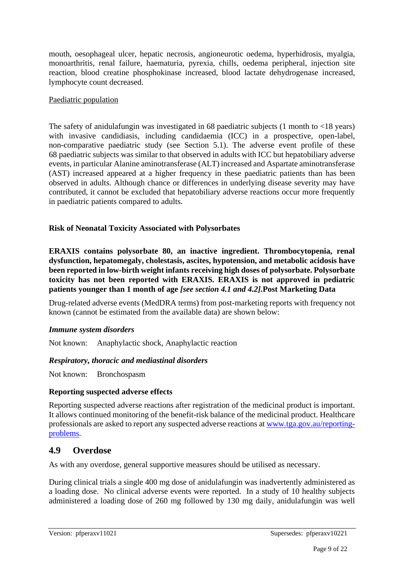mouth, oesophageal ulcer, hepatic necrosis, angioneurotic oedema, hyperhidrosis, myalgia, monoarthritis, renal failure, haematuria, pyrexia, chills, oedema peripheral, injection site reaction, blood creatine phosphokinase increased, blood lactate dehydrogenase increased, lymphocyte count decreased.

#### Paediatric population

The safety of anidulaturgin was investigated in 68 paediatric subjects  $(1 \text{ month to } < 18 \text{ years})$ with invasive candidiasis, including candidaemia (ICC) in a prospective, open-label, non-comparative paediatric study (see Section 5.1). The adverse event profile of these 68 paediatric subjects was similar to that observed in adults with ICC but hepatobiliary adverse events, in particular Alanine aminotransferase (ALT) increased and Aspartate aminotransferase (AST) increased appeared at a higher frequency in these paediatric patients than has been observed in adults. Although chance or differences in underlying disease severity may have contributed, it cannot be excluded that hepatobiliary adverse reactions occur more frequently in paediatric patients compared to adults.

#### **Risk of Neonatal Toxicity Associated with Polysorbates**

**ERAXIS contains polysorbate 80, an inactive ingredient. Thrombocytopenia, renal dysfunction, hepatomegaly, cholestasis, ascites, hypotension, and metabolic acidosis have been reported in low-birth weight infants receiving high doses of polysorbate. Polysorbate toxicity has not been reported with ERAXIS. ERAXIS is not approved in pediatric patients younger than 1 month of age** *[see section 4.1 and 4.2].***Post Marketing Data**

Drug-related adverse events (MedDRA terms) from post-marketing reports with frequency not known (cannot be estimated from the available data) are shown below:

#### *Immune system disorders*

Not known: Anaphylactic shock, Anaphylactic reaction

#### *Respiratory, thoracic and mediastinal disorders*

Not known: Bronchospasm

#### **Reporting suspected adverse effects**

Reporting suspected adverse reactions after registration of the medicinal product is important. It allows continued monitoring of the benefit-risk balance of the medicinal product. Healthcare professionals are asked to report any suspected adverse reactions at [www.tga.gov.au/reporting](http://www.tga.gov.au/reporting-problems)[problems.](http://www.tga.gov.au/reporting-problems)

# **4.9 Overdose**

As with any overdose, general supportive measures should be utilised as necessary.

During clinical trials a single 400 mg dose of anidulafungin was inadvertently administered as a loading dose. No clinical adverse events were reported. In a study of 10 healthy subjects administered a loading dose of 260 mg followed by 130 mg daily, anidulafungin was well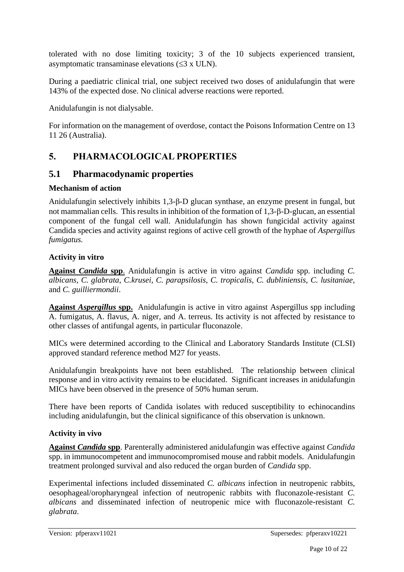tolerated with no dose limiting toxicity; 3 of the 10 subjects experienced transient, asymptomatic transaminase elevations  $(\leq 3 \times ULN)$ .

During a paediatric clinical trial, one subject received two doses of anidulafungin that were 143% of the expected dose. No clinical adverse reactions were reported.

Anidulafungin is not dialysable.

For information on the management of overdose, contact the Poisons Information Centre on 13 11 26 (Australia).

# **5. PHARMACOLOGICAL PROPERTIES**

# **5.1 Pharmacodynamic properties**

#### **Mechanism of action**

Anidulafungin selectively inhibits 1,3-β-D glucan synthase, an enzyme present in fungal, but not mammalian cells. This results in inhibition of the formation of 1,3- $\beta$ -D-glucan, an essential component of the fungal cell wall. Anidulafungin has shown fungicidal activity against Candida species and activity against regions of active cell growth of the hyphae of *Aspergillus fumigatus.* 

#### **Activity in vitro**

**Against** *Candida* **spp**. Anidulafungin is active in vitro against *Candida* spp. including *C. albicans, C. glabrata, C.krusei, C. parapsilosis, C. tropicalis, C. dubliniensis, C. lusitaniae,* and *C. guilliermondii*.

**Against** *Aspergillus* **spp.** Anidulafungin is active in vitro against Aspergillus spp including A. fumigatus, A. flavus, A. niger, and A. terreus. Its activity is not affected by resistance to other classes of antifungal agents, in particular fluconazole.

MICs were determined according to the Clinical and Laboratory Standards Institute (CLSI) approved standard reference method M27 for yeasts.

Anidulafungin breakpoints have not been established. The relationship between clinical response and in vitro activity remains to be elucidated. Significant increases in anidulafungin MICs have been observed in the presence of 50% human serum.

There have been reports of Candida isolates with reduced susceptibility to echinocandins including anidulafungin, but the clinical significance of this observation is unknown.

#### **Activity in vivo**

**Against** *Candida* **spp**. Parenterally administered anidulafungin was effective against *Candida* spp. in immunocompetent and immunocompromised mouse and rabbit models. Anidulafungin treatment prolonged survival and also reduced the organ burden of *Candida* spp.

Experimental infections included disseminated *C. albicans* infection in neutropenic rabbits, oesophageal/oropharyngeal infection of neutropenic rabbits with fluconazole-resistant *C. albicans* and disseminated infection of neutropenic mice with fluconazole-resistant *C. glabrata*.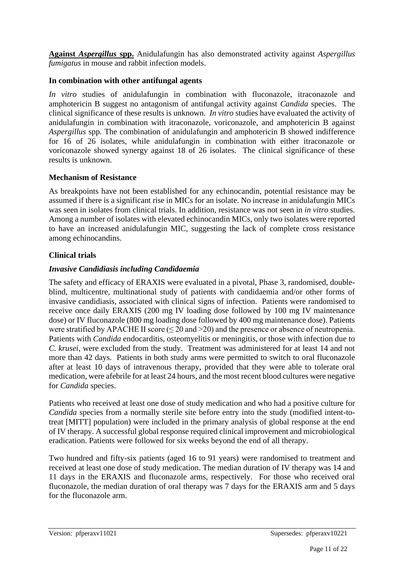**Against** *Aspergillus* **spp.** Anidulafungin has also demonstrated activity against *Aspergillus fumigatus* in mouse and rabbit infection models.

#### **In combination with other antifungal agents**

*In vitro* studies of anidulafungin in combination with fluconazole, itraconazole and amphotericin B suggest no antagonism of antifungal activity against *Candida* species. The clinical significance of these results is unknown. *In vitro* studies have evaluated the activity of anidulafungin in combination with itraconazole, voriconazole, and amphotericin B against *Aspergillus* spp. The combination of anidulafungin and amphotericin B showed indifference for 16 of 26 isolates, while anidulafungin in combination with either itraconazole or voriconazole showed synergy against 18 of 26 isolates. The clinical significance of these results is unknown.

#### **Mechanism of Resistance**

As breakpoints have not been established for any echinocandin, potential resistance may be assumed if there is a significant rise in MICs for an isolate. No increase in anidulafungin MICs was seen in isolates from clinical trials. In addition, resistance was not seen in *in vitro* studies. Among a number of isolates with elevated echinocandin MICs, only two isolates were reported to have an increased anidulafungin MIC, suggesting the lack of complete cross resistance among echinocandins.

#### **Clinical trials**

#### *Invasive Candidiasis including Candidaemia*

The safety and efficacy of ERAXIS were evaluated in a pivotal, Phase 3, randomised, doubleblind, multicentre, multinational study of patients with candidaemia and/or other forms of invasive candidiasis, associated with clinical signs of infection. Patients were randomised to receive once daily ERAXIS (200 mg IV loading dose followed by 100 mg IV maintenance dose) or IV fluconazole (800 mg loading dose followed by 400 mg maintenance dose). Patients were stratified by APACHE II score  $(\leq 20 \text{ and } > 20)$  and the presence or absence of neutropenia. Patients with *Candida* endocarditis, osteomyelitis or meningitis, or those with infection due to *C. krusei*, were excluded from the study. Treatment was administered for at least 14 and not more than 42 days. Patients in both study arms were permitted to switch to oral fluconazole after at least 10 days of intravenous therapy, provided that they were able to tolerate oral medication, were afebrile for at least 24 hours, and the most recent blood cultures were negative for *Candida* species.

Patients who received at least one dose of study medication and who had a positive culture for *Candida* species from a normally sterile site before entry into the study (modified intent-totreat [MITT] population) were included in the primary analysis of global response at the end of IV therapy. A successful global response required clinical improvement and microbiological eradication. Patients were followed for six weeks beyond the end of all therapy.

Two hundred and fifty-six patients (aged 16 to 91 years) were randomised to treatment and received at least one dose of study medication. The median duration of IV therapy was 14 and 11 days in the ERAXIS and fluconazole arms, respectively. For those who received oral fluconazole, the median duration of oral therapy was 7 days for the ERAXIS arm and 5 days for the fluconazole arm.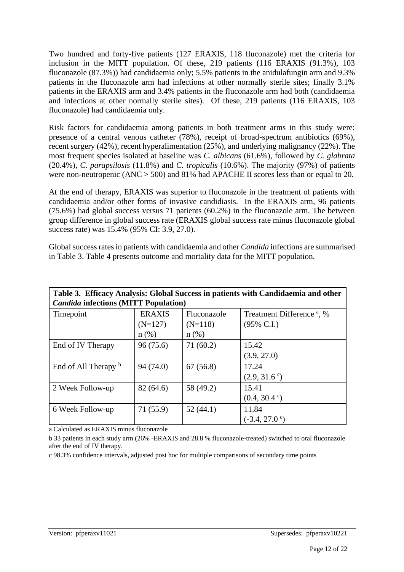Two hundred and forty-five patients (127 ERAXIS, 118 fluconazole) met the criteria for inclusion in the MITT population. Of these, 219 patients (116 ERAXIS (91.3%), 103 fluconazole (87.3%)) had candidaemia only; 5.5% patients in the anidulafungin arm and 9.3% patients in the fluconazole arm had infections at other normally sterile sites; finally 3.1% patients in the ERAXIS arm and 3.4% patients in the fluconazole arm had both (candidaemia and infections at other normally sterile sites). Of these, 219 patients (116 ERAXIS, 103 fluconazole) had candidaemia only.

Risk factors for candidaemia among patients in both treatment arms in this study were: presence of a central venous catheter (78%), receipt of broad-spectrum antibiotics (69%), recent surgery (42%), recent hyperalimentation (25%), and underlying malignancy (22%). The most frequent species isolated at baseline was *C. albicans* (61.6%), followed by *C. glabrata* (20.4%), *C. parapsilosis* (11.8%) and *C. tropicalis* (10.6%). The majority (97%) of patients were non-neutropenic (ANC > 500) and 81% had APACHE II scores less than or equal to 20.

At the end of therapy, ERAXIS was superior to fluconazole in the treatment of patients with candidaemia and/or other forms of invasive candidiasis. In the ERAXIS arm, 96 patients (75.6%) had global success versus 71 patients (60.2%) in the fluconazole arm. The between group difference in global success rate (ERAXIS global success rate minus fluconazole global success rate) was 15.4% (95% CI: 3.9, 27.0).

Global success rates in patients with candidaemia and other *Candida* infections are summarised in Table 3. Table 4 presents outcome and mortality data for the MITT population.

| Table 3. Efficacy Analysis: Global Success in patients with Candidaemia and other<br><b>Candida infections (MITT Population)</b> |                                       |                                     |                                                                |  |
|----------------------------------------------------------------------------------------------------------------------------------|---------------------------------------|-------------------------------------|----------------------------------------------------------------|--|
| Timepoint                                                                                                                        | <b>ERAXIS</b><br>$(N=127)$<br>$n$ (%) | Fluconazole<br>$(N=118)$<br>$n$ (%) | Treatment Difference <sup>a</sup> , %<br>$(95\% \text{ C.I.})$ |  |
| End of IV Therapy                                                                                                                | 96(75.6)                              | 71(60.2)                            | 15.42<br>(3.9, 27.0)                                           |  |
| End of All Therapy b                                                                                                             | 94 (74.0)                             | 67(56.8)                            | 17.24<br>$(2.9, 31.6^{\circ})$                                 |  |
| 2 Week Follow-up                                                                                                                 | 82 (64.6)                             | 58 (49.2)                           | 15.41<br>$(0.4, 30.4)$ <sup>c</sup> )                          |  |
| 6 Week Follow-up                                                                                                                 | 71 (55.9)                             | 52(44.1)                            | 11.84<br>$(-3.4, 27.0^{\circ})$                                |  |

a Calculated as ERAXIS minus fluconazole

b 33 patients in each study arm (26% -ERAXIS and 28.8 % fluconazole-treated) switched to oral fluconazole after the end of IV therapy.

c 98.3% confidence intervals, adjusted post hoc for multiple comparisons of secondary time points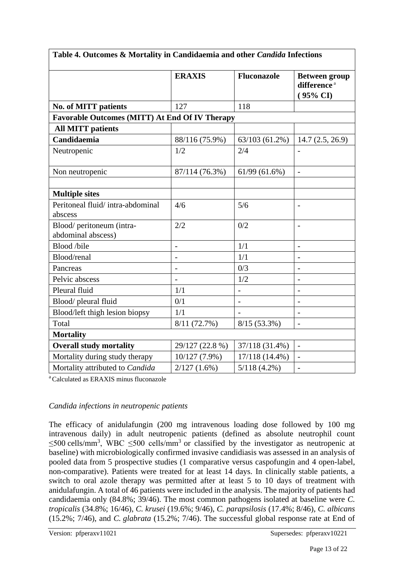| Table 4. Outcomes & Mortality in Candidaemia and other Candida Infections |                 |                          |                                                             |  |
|---------------------------------------------------------------------------|-----------------|--------------------------|-------------------------------------------------------------|--|
|                                                                           | <b>ERAXIS</b>   | <b>Fluconazole</b>       | <b>Between group</b><br>difference <sup>a</sup><br>(95% CI) |  |
| <b>No. of MITT patients</b>                                               | 127             | 118                      |                                                             |  |
| <b>Favorable Outcomes (MITT) At End Of IV Therapy</b>                     |                 |                          |                                                             |  |
| <b>All MITT patients</b>                                                  |                 |                          |                                                             |  |
| Candidaemia                                                               | 88/116 (75.9%)  | 63/103(61.2%)            | 14.7(2.5, 26.9)                                             |  |
| Neutropenic                                                               | 1/2             | 2/4                      |                                                             |  |
| Non neutropenic                                                           | 87/114 (76.3%)  | 61/99(61.6%)             | $\overline{\phantom{a}}$                                    |  |
| <b>Multiple sites</b>                                                     |                 |                          |                                                             |  |
| Peritoneal fluid/intra-abdominal<br>abscess                               | 4/6             | 5/6                      | $\overline{a}$                                              |  |
| Blood/peritoneum (intra-<br>abdominal abscess)                            | 2/2             | 0/2                      |                                                             |  |
| Blood /bile                                                               | $\overline{a}$  | 1/1                      |                                                             |  |
| Blood/renal                                                               |                 | 1/1                      |                                                             |  |
| Pancreas                                                                  |                 | 0/3                      |                                                             |  |
| Pelvic abscess                                                            |                 | 1/2                      | $\overline{\phantom{0}}$                                    |  |
| Pleural fluid                                                             | 1/1             | $\overline{\phantom{a}}$ |                                                             |  |
| Blood/pleural fluid                                                       | 0/1             | $\overline{\phantom{a}}$ | $\overline{\phantom{0}}$                                    |  |
| Blood/left thigh lesion biopsy                                            | 1/1             |                          |                                                             |  |
| Total                                                                     | 8/11(72.7%)     | $8/15(53.3\%)$           | $\overline{\phantom{0}}$                                    |  |
| <b>Mortality</b>                                                          |                 |                          |                                                             |  |
| <b>Overall study mortality</b>                                            | 29/127 (22.8 %) | 37/118 (31.4%)           |                                                             |  |
| Mortality during study therapy                                            | 10/127 (7.9%)   | 17/118 (14.4%)           | $\overline{\phantom{0}}$                                    |  |
| Mortality attributed to Candida                                           | 2/127(1.6%)     | $5/118(4.2\%)$           |                                                             |  |

<sup>a</sup> Calculated as ERAXIS minus fluconazole

#### *Candida infections in neutropenic patients*

The efficacy of anidulafungin (200 mg intravenous loading dose followed by 100 mg intravenous daily) in adult neutropenic patients (defined as absolute neutrophil count  $\leq$ 500 cells/mm<sup>3</sup>, WBC  $\leq$ 500 cells/mm<sup>3</sup> or classified by the investigator as neutropenic at baseline) with microbiologically confirmed invasive candidiasis was assessed in an analysis of pooled data from 5 prospective studies (1 comparative versus caspofungin and 4 open-label, non-comparative). Patients were treated for at least 14 days. In clinically stable patients, a switch to oral azole therapy was permitted after at least 5 to 10 days of treatment with anidulafungin. A total of 46 patients were included in the analysis. The majority of patients had candidaemia only (84.8%; 39/46). The most common pathogens isolated at baseline were *C. tropicalis* (34.8%; 16/46), *C. krusei* (19.6%; 9/46), *C. parapsilosis* (17.4%; 8/46), *C. albicans*  (15.2%; 7/46), and *C. glabrata* (15.2%; 7/46). The successful global response rate at End of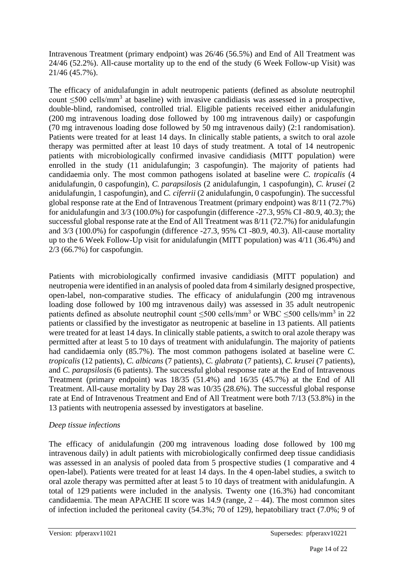Intravenous Treatment (primary endpoint) was 26/46 (56.5%) and End of All Treatment was 24/46 (52.2%). All-cause mortality up to the end of the study (6 Week Follow-up Visit) was 21/46 (45.7%).

The efficacy of anidulafungin in adult neutropenic patients (defined as absolute neutrophil count  $\leq$ 500 cells/mm<sup>3</sup> at baseline) with invasive candidiasis was assessed in a prospective, double-blind, randomised, controlled trial. Eligible patients received either anidulafungin (200 mg intravenous loading dose followed by 100 mg intravenous daily) or caspofungin (70 mg intravenous loading dose followed by 50 mg intravenous daily) (2:1 randomisation). Patients were treated for at least 14 days. In clinically stable patients, a switch to oral azole therapy was permitted after at least 10 days of study treatment. A total of 14 neutropenic patients with microbiologically confirmed invasive candidiasis (MITT population) were enrolled in the study (11 anidulafungin; 3 caspofungin). The majority of patients had candidaemia only. The most common pathogens isolated at baseline were *C. tropicalis* (4 anidulafungin, 0 caspofungin), *C. parapsilosi*s (2 anidulafungin, 1 caspofungin), *C. krusei* (2 anidulafungin, 1 caspofungin), and *C. ciferrii* (2 anidulafungin, 0 caspofungin). The successful global response rate at the End of Intravenous Treatment (primary endpoint) was 8/11 (72.7%) for anidulafungin and 3/3 (100.0%) for caspofungin (difference -27.3, 95% CI -80.9, 40.3); the successful global response rate at the End of All Treatment was 8/11 (72.7%) for anidulafungin and 3/3 (100.0%) for caspofungin (difference -27.3, 95% CI -80.9, 40.3). All-cause mortality up to the 6 Week Follow-Up visit for anidulafungin (MITT population) was 4/11 (36.4%) and 2/3 (66.7%) for caspofungin.

Patients with microbiologically confirmed invasive candidiasis (MITT population) and neutropenia were identified in an analysis of pooled data from 4 similarly designed prospective, open-label, non-comparative studies. The efficacy of anidulafungin (200 mg intravenous loading dose followed by 100 mg intravenous daily) was assessed in 35 adult neutropenic patients defined as absolute neutrophil count  $\leq 500$  cells/mm<sup>3</sup> or WBC  $\leq 500$  cells/mm<sup>3</sup> in 22 patients or classified by the investigator as neutropenic at baseline in 13 patients. All patients were treated for at least 14 days. In clinically stable patients, a switch to oral azole therapy was permitted after at least 5 to 10 days of treatment with anidulafungin. The majority of patients had candidaemia only (85.7%). The most common pathogens isolated at baseline were *C. tropicalis* (12 patients), *C. albicans* (7 patients), *C. glabrata* (7 patients), *C. krusei* (7 patients), and *C. parapsilosis* (6 patients). The successful global response rate at the End of Intravenous Treatment (primary endpoint) was 18/35 (51.4%) and 16/35 (45.7%) at the End of All Treatment. All-cause mortality by Day 28 was 10/35 (28.6%). The successful global response rate at End of Intravenous Treatment and End of All Treatment were both 7/13 (53.8%) in the 13 patients with neutropenia assessed by investigators at baseline.

#### *Deep tissue infections*

The efficacy of anidulafungin (200 mg intravenous loading dose followed by 100 mg intravenous daily) in adult patients with microbiologically confirmed deep tissue candidiasis was assessed in an analysis of pooled data from 5 prospective studies (1 comparative and 4 open-label). Patients were treated for at least 14 days. In the 4 open-label studies, a switch to oral azole therapy was permitted after at least 5 to 10 days of treatment with anidulafungin. A total of 129 patients were included in the analysis. Twenty one (16.3%) had concomitant candidaemia. The mean APACHE II score was  $14.9$  (range,  $2 - 44$ ). The most common sites of infection included the peritoneal cavity (54.3%; 70 of 129), hepatobiliary tract (7.0%; 9 of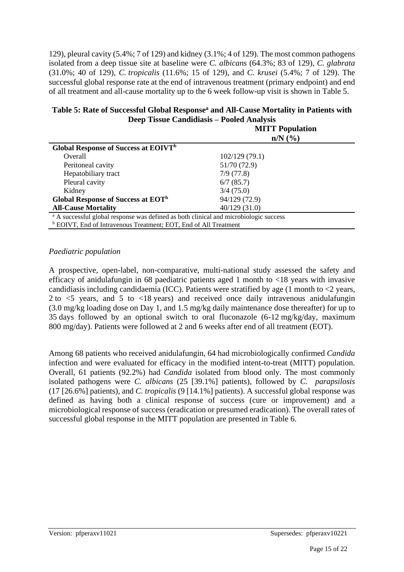129), pleural cavity (5.4%; 7 of 129) and kidney (3.1%; 4 of 129). The most common pathogens isolated from a deep tissue site at baseline were *C. albicans* (64.3%; 83 of 129), *C. glabrata* (31.0%; 40 of 129), *C. tropicalis* (11.6%; 15 of 129), and *C. krusei* (5.4%; 7 of 129). The successful global response rate at the end of intravenous treatment (primary endpoint) and end of all treatment and all-cause mortality up to the 6 week follow-up visit is shown in Table 5.

| Table 5: Rate of Successful Global Response <sup>a</sup> and All-Cause Mortality in Patients with |
|---------------------------------------------------------------------------------------------------|
| Deep Tissue Candidiasis – Pooled Analysis                                                         |
| <b>MITT D</b>                                                                                     |

|                                                                                                                                                                                                                                                                                                                     | <b>MITT Population</b><br>$n/N$ $(\%)$ |
|---------------------------------------------------------------------------------------------------------------------------------------------------------------------------------------------------------------------------------------------------------------------------------------------------------------------|----------------------------------------|
| Global Response of Success at EOIVT <sup>b</sup>                                                                                                                                                                                                                                                                    |                                        |
| Overall                                                                                                                                                                                                                                                                                                             | 102/129(79.1)                          |
| Peritoneal cavity                                                                                                                                                                                                                                                                                                   | 51/70 (72.9)                           |
| Hepatobiliary tract                                                                                                                                                                                                                                                                                                 | 7/9(77.8)                              |
| Pleural cavity                                                                                                                                                                                                                                                                                                      | 6/7(85.7)                              |
| Kidney                                                                                                                                                                                                                                                                                                              | 3/4(75.0)                              |
| Global Response of Success at EOT <sup>b</sup>                                                                                                                                                                                                                                                                      | 94/129 (72.9)                          |
| <b>All-Cause Mortality</b>                                                                                                                                                                                                                                                                                          | 40/129(31.0)                           |
| <sup>a</sup> A successful global response was defined as both clinical and microbiologic success                                                                                                                                                                                                                    |                                        |
| $\frac{1}{2}$ $\frac{1}{2}$ $\frac{1}{2}$ $\frac{1}{2}$ $\frac{1}{2}$ $\frac{1}{2}$ $\frac{1}{2}$ $\frac{1}{2}$ $\frac{1}{2}$ $\frac{1}{2}$ $\frac{1}{2}$ $\frac{1}{2}$ $\frac{1}{2}$ $\frac{1}{2}$ $\frac{1}{2}$ $\frac{1}{2}$ $\frac{1}{2}$ $\frac{1}{2}$ $\frac{1}{2}$ $\frac{1}{2}$ $\frac{1}{2}$ $\frac{1}{2}$ |                                        |

<sup>b</sup> EOIVT, End of Intravenous Treatment; EOT, End of All Treatment

#### *Paediatric population*

A prospective, open-label, non-comparative, multi-national study assessed the safety and efficacy of anidulafungin in 68 paediatric patients aged 1 month to <18 years with invasive candidiasis including candidaemia (ICC). Patients were stratified by age (1 month to  $\langle 2 \rangle$  years, 2 to <5 years, and 5 to <18 years) and received once daily intravenous anidulafungin (3.0 mg/kg loading dose on Day 1, and 1.5 mg/kg daily maintenance dose thereafter) for up to 35 days followed by an optional switch to oral fluconazole (6-12 mg/kg/day, maximum 800 mg/day). Patients were followed at 2 and 6 weeks after end of all treatment (EOT).

Among 68 patients who received anidulafungin, 64 had microbiologically confirmed *Candida* infection and were evaluated for efficacy in the modified intent-to-treat (MITT) population. Overall, 61 patients (92.2%) had *Candida* isolated from blood only. The most commonly isolated pathogens were *C. albicans* (25 [39.1%] patients), followed by *C. parapsilosis* (17 [26.6%] patients), and *C. tropicalis* (9 [14.1%] patients). A successful global response was defined as having both a clinical response of success (cure or improvement) and a microbiological response of success (eradication or presumed eradication). The overall rates of successful global response in the MITT population are presented in Table 6.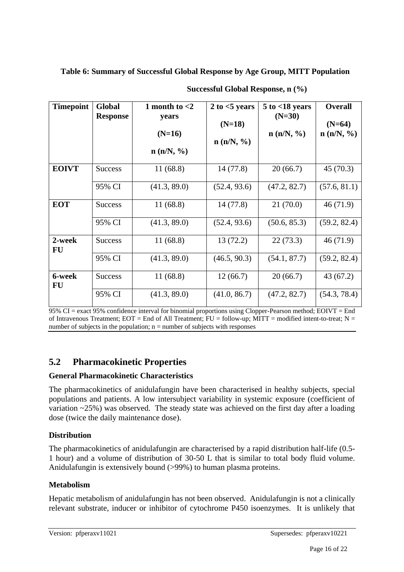**Table 6: Summary of Successful Global Response by Age Group, MITT Population**

| <b>Timepoint</b> | Global<br><b>Response</b> | 1 month to $<$ 2<br>years<br>$(N=16)$<br>n(n/N, %) | 2 to $<$ 5 years<br>$(N=18)$<br>n (n/N, %) | $5$ to $<$ 18 years<br>$(N=30)$<br>n (n/N, %) | <b>Overall</b><br>$(N=64)$<br>n (n/N, %) |
|------------------|---------------------------|----------------------------------------------------|--------------------------------------------|-----------------------------------------------|------------------------------------------|
| <b>EOIVT</b>     | <b>Success</b>            | 11(68.8)                                           | 14(77.8)                                   | 20(66.7)                                      | 45(70.3)                                 |
|                  | 95% CI                    | (41.3, 89.0)                                       | (52.4, 93.6)                               | (47.2, 82.7)                                  | (57.6, 81.1)                             |
| <b>EOT</b>       | <b>Success</b>            | 11(68.8)                                           | 14(77.8)                                   | 21(70.0)                                      | 46(71.9)                                 |
|                  | 95% CI                    | (41.3, 89.0)                                       | (52.4, 93.6)                               | (50.6, 85.3)                                  | (59.2, 82.4)                             |
| 2-week<br>FU     | <b>Success</b>            | 11(68.8)                                           | 13(72.2)                                   | 22(73.3)                                      | 46(71.9)                                 |
|                  | 95% CI                    | (41.3, 89.0)                                       | (46.5, 90.3)                               | (54.1, 87.7)                                  | (59.2, 82.4)                             |
| 6-week<br>FU     | <b>Success</b>            | 11(68.8)                                           | 12(66.7)                                   | 20(66.7)                                      | 43 (67.2)                                |
|                  | 95% CI                    | (41.3, 89.0)                                       | (41.0, 86.7)                               | (47.2, 82.7)                                  | (54.3, 78.4)                             |

**Successful Global Response, n (%)**

95% CI = exact 95% confidence interval for binomial proportions using Clopper-Pearson method; EOIVT = End of Intravenous Treatment;  $EOT = End$  of All Treatment;  $FU = following$   $MIT = modified$  intent-to-treat;  $N =$ number of subjects in the population;  $n =$  number of subjects with responses

# **5.2 Pharmacokinetic Properties**

#### **General Pharmacokinetic Characteristics**

The pharmacokinetics of anidulafungin have been characterised in healthy subjects, special populations and patients. A low intersubject variability in systemic exposure (coefficient of variation ~25%) was observed. The steady state was achieved on the first day after a loading dose (twice the daily maintenance dose).

# **Distribution**

The pharmacokinetics of anidulafungin are characterised by a rapid distribution half-life (0.5- 1 hour) and a volume of distribution of 30-50 L that is similar to total body fluid volume. Anidulafungin is extensively bound (>99%) to human plasma proteins.

#### **Metabolism**

Hepatic metabolism of anidulafungin has not been observed. Anidulafungin is not a clinically relevant substrate, inducer or inhibitor of cytochrome P450 isoenzymes. It is unlikely that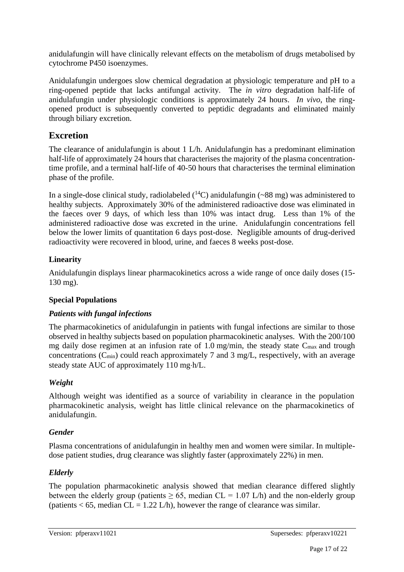anidulafungin will have clinically relevant effects on the metabolism of drugs metabolised by cytochrome P450 isoenzymes.

Anidulafungin undergoes slow chemical degradation at physiologic temperature and pH to a ring-opened peptide that lacks antifungal activity. The *in vitro* degradation half-life of anidulafungin under physiologic conditions is approximately 24 hours. *In vivo*, the ringopened product is subsequently converted to peptidic degradants and eliminated mainly through biliary excretion.

# **Excretion**

The clearance of anidulafungin is about 1 L/h. Anidulafungin has a predominant elimination half-life of approximately 24 hours that characterises the majority of the plasma concentrationtime profile, and a terminal half-life of 40-50 hours that characterises the terminal elimination phase of the profile.

In a single-dose clinical study, radiolabeled  $(^{14}C)$  anidulafungin (~88 mg) was administered to healthy subjects. Approximately 30% of the administered radioactive dose was eliminated in the faeces over 9 days, of which less than 10% was intact drug. Less than 1% of the administered radioactive dose was excreted in the urine. Anidulafungin concentrations fell below the lower limits of quantitation 6 days post-dose. Negligible amounts of drug-derived radioactivity were recovered in blood, urine, and faeces 8 weeks post-dose.

# **Linearity**

Anidulafungin displays linear pharmacokinetics across a wide range of once daily doses (15- 130 mg).

# **Special Populations**

# *Patients with fungal infections*

The pharmacokinetics of anidulafungin in patients with fungal infections are similar to those observed in healthy subjects based on population pharmacokinetic analyses. With the 200/100 mg daily dose regimen at an infusion rate of 1.0 mg/min, the steady state  $C_{\text{max}}$  and trough concentrations ( $C_{min}$ ) could reach approximately 7 and 3 mg/L, respectively, with an average steady state AUC of approximately 110 mg·h/L.

# *Weight*

Although weight was identified as a source of variability in clearance in the population pharmacokinetic analysis, weight has little clinical relevance on the pharmacokinetics of anidulafungin.

# *Gender*

Plasma concentrations of anidulafungin in healthy men and women were similar. In multipledose patient studies, drug clearance was slightly faster (approximately 22%) in men.

# *Elderly*

The population pharmacokinetic analysis showed that median clearance differed slightly between the elderly group (patients  $> 65$ , median CL = 1.07 L/h) and the non-elderly group (patients  $< 65$ , median CL = 1.22 L/h), however the range of clearance was similar.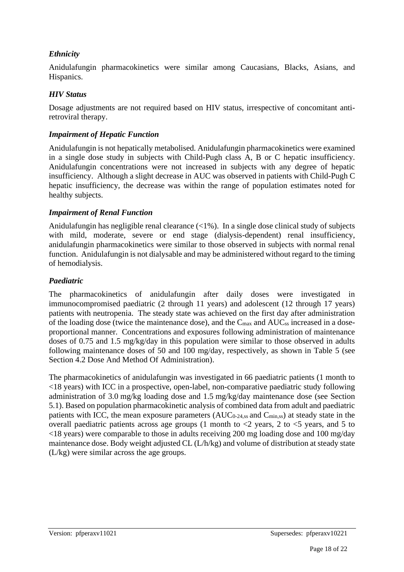#### *Ethnicity*

Anidulafungin pharmacokinetics were similar among Caucasians, Blacks, Asians, and Hispanics.

#### *HIV Status*

Dosage adjustments are not required based on HIV status, irrespective of concomitant antiretroviral therapy.

#### *Impairment of Hepatic Function*

Anidulafungin is not hepatically metabolised. Anidulafungin pharmacokinetics were examined in a single dose study in subjects with Child-Pugh class A, B or C hepatic insufficiency. Anidulafungin concentrations were not increased in subjects with any degree of hepatic insufficiency. Although a slight decrease in AUC was observed in patients with Child-Pugh C hepatic insufficiency, the decrease was within the range of population estimates noted for healthy subjects.

#### *Impairment of Renal Function*

Anidulafungin has negligible renal clearance (<1%). In a single dose clinical study of subjects with mild, moderate, severe or end stage (dialysis-dependent) renal insufficiency, anidulafungin pharmacokinetics were similar to those observed in subjects with normal renal function. Anidulafungin is not dialysable and may be administered without regard to the timing of hemodialysis.

#### *Paediatric*

The pharmacokinetics of anidulafungin after daily doses were investigated in immunocompromised paediatric (2 through 11 years) and adolescent (12 through 17 years) patients with neutropenia. The steady state was achieved on the first day after administration of the loading dose (twice the maintenance dose), and the C<sub>max</sub> and AUC<sub>ss</sub> increased in a doseproportional manner. Concentrations and exposures following administration of maintenance doses of 0.75 and 1.5 mg/kg/day in this population were similar to those observed in adults following maintenance doses of 50 and 100 mg/day, respectively, as shown in Table 5 (see Section 4.2 Dose And Method Of Administration).

The pharmacokinetics of anidulafungin was investigated in 66 paediatric patients (1 month to <18 years) with ICC in a prospective, open-label, non-comparative paediatric study following administration of 3.0 mg/kg loading dose and 1.5 mg/kg/day maintenance dose (see Section 5.1). Based on population pharmacokinetic analysis of combined data from adult and paediatric patients with ICC, the mean exposure parameters (AUC<sub>0-24,ss</sub> and C<sub>min,ss</sub>) at steady state in the overall paediatric patients across age groups (1 month to  $\langle 2 \rangle$  years, 2 to  $\langle 5 \rangle$  years, and 5 to <18 years) were comparable to those in adults receiving 200 mg loading dose and 100 mg/day maintenance dose. Body weight adjusted CL (L/h/kg) and volume of distribution at steady state (L/kg) were similar across the age groups.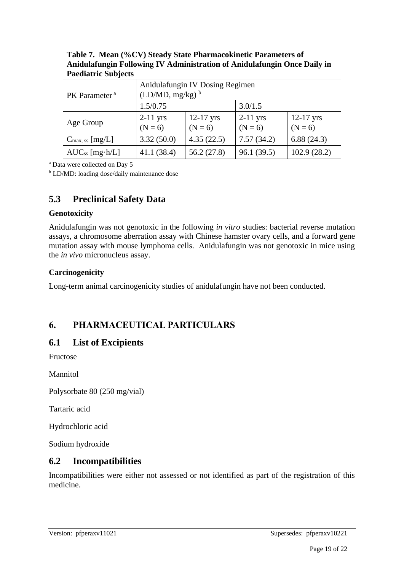| Amdulatungin Fohowing IV Administration of Amdulatungin Once Dally in |                                                         |                          |                         |                          |  |
|-----------------------------------------------------------------------|---------------------------------------------------------|--------------------------|-------------------------|--------------------------|--|
| <b>Paediatric Subjects</b>                                            |                                                         |                          |                         |                          |  |
| PK Parameter <sup>a</sup>                                             | Anidulafungin IV Dosing Regimen<br>$(LD/MD, mg/kg)^{b}$ |                          |                         |                          |  |
|                                                                       | 1.5/0.75                                                |                          | 3.0/1.5                 |                          |  |
| Age Group                                                             | $2-11$ yrs<br>$(N = 6)$                                 | $12-17$ yrs<br>$(N = 6)$ | $2-11$ yrs<br>$(N = 6)$ | $12-17$ yrs<br>$(N = 6)$ |  |
| $C_{\text{max, ss}}$ [mg/L]                                           | 3.32(50.0)                                              | 4.35(22.5)               | 7.57(34.2)              | 6.88(24.3)               |  |
| $AUC_{ss}$ [mg·h/L]                                                   | 41.1(38.4)                                              | 56.2(27.8)               | 96.1(39.5)              | 102.9(28.2)              |  |

**Table 7. Mean (%CV) Steady State Pharmacokinetic Parameters of Anidulafungin Following IV Administration of Anidulafungin Once Daily in** 

<sup>a</sup> Data were collected on Day 5

<sup>b</sup> LD/MD: loading dose/daily maintenance dose

# **5.3 Preclinical Safety Data**

#### **Genotoxicity**

Anidulafungin was not genotoxic in the following *in vitro* studies: bacterial reverse mutation assays, a chromosome aberration assay with Chinese hamster ovary cells, and a forward gene mutation assay with mouse lymphoma cells. Anidulafungin was not genotoxic in mice using the *in vivo* micronucleus assay.

#### **Carcinogenicity**

Long-term animal carcinogenicity studies of anidulafungin have not been conducted.

# **6. PHARMACEUTICAL PARTICULARS**

#### **6.1 List of Excipients**

Fructose

Mannitol

Polysorbate 80 (250 mg/vial)

Tartaric acid

Hydrochloric acid

Sodium hydroxide

#### **6.2 Incompatibilities**

Incompatibilities were either not assessed or not identified as part of the registration of this medicine.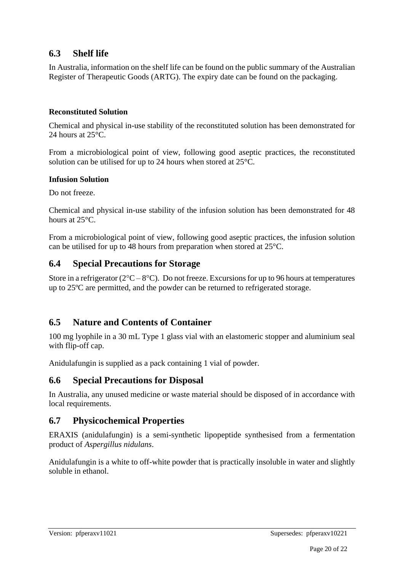# **6.3 Shelf life**

In Australia, information on the shelf life can be found on the public summary of the Australian Register of Therapeutic Goods (ARTG). The expiry date can be found on the packaging.

#### **Reconstituted Solution**

Chemical and physical in-use stability of the reconstituted solution has been demonstrated for 24 hours at 25°C.

From a microbiological point of view, following good aseptic practices, the reconstituted solution can be utilised for up to 24 hours when stored at 25°C.

#### **Infusion Solution**

Do not freeze.

Chemical and physical in-use stability of the infusion solution has been demonstrated for 48 hours at 25°C.

From a microbiological point of view, following good aseptic practices, the infusion solution can be utilised for up to 48 hours from preparation when stored at 25°C.

# **6.4 Special Precautions for Storage**

Store in a refrigerator ( $2^{\circ}\text{C} - 8^{\circ}\text{C}$ ). Do not freeze. Excursions for up to 96 hours at temperatures up to 25ºC are permitted, and the powder can be returned to refrigerated storage.

# **6.5 Nature and Contents of Container**

100 mg lyophile in a 30 mL Type 1 glass vial with an elastomeric stopper and aluminium seal with flip-off cap.

Anidulafungin is supplied as a pack containing 1 vial of powder.

# **6.6 Special Precautions for Disposal**

In Australia, any unused medicine or waste material should be disposed of in accordance with local requirements.

# **6.7 Physicochemical Properties**

ERAXIS (anidulafungin) is a semi-synthetic lipopeptide synthesised from a fermentation product of *Aspergillus nidulans*.

Anidulafungin is a white to off-white powder that is practically insoluble in water and slightly soluble in ethanol.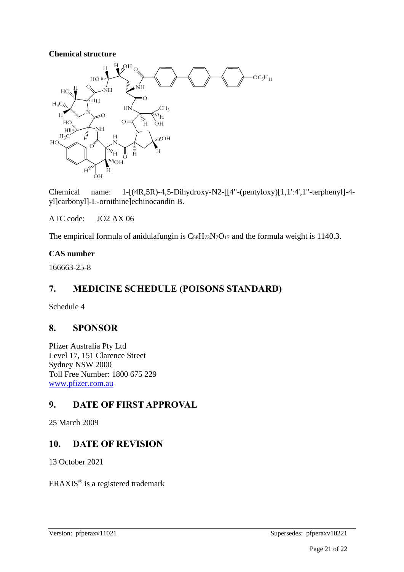#### **Chemical structure**



Chemical name:  $1-[ (4R,5R)-4,5-Dihydroxy-N2-[[4"-(pentyloxy)][1,1':4',1"-terphenyl]-4$ yl]carbonyl]-L-ornithine]echinocandin B.

ATC code: JO2 AX 06

The empirical formula of anidulafungin is  $C_{58}H_{73}N_7O_{17}$  and the formula weight is 1140.3.

#### **CAS number**

166663-25-8

# **7. MEDICINE SCHEDULE (POISONS STANDARD)**

Schedule 4

# **8. SPONSOR**

Pfizer Australia Pty Ltd Level 17, 151 Clarence Street Sydney NSW 2000 Toll Free Number: 1800 675 229 [www.pfizer.com.au](http://www.pfizer.com.au/)

# **9. DATE OF FIRST APPROVAL**

25 March 2009

# **10. DATE OF REVISION**

13 October 2021

ERAXIS® is a registered trademark